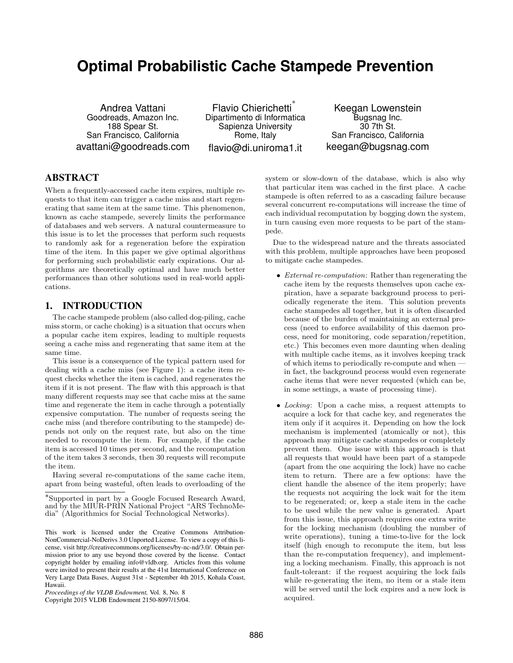# **Optimal Probabilistic Cache Stampede Prevention**

Andrea Vattani Goodreads, Amazon Inc. 188 Spear St. San Francisco, California avattani@goodreads.com

Flavio Chierichetti ∗ Dipartimento di Informatica Sapienza University Rome, Italy flavio@di.uniroma1.it

Keegan Lowenstein Bugsnag Inc. 30 7th St. San Francisco, California keegan@bugsnag.com

# ABSTRACT

When a frequently-accessed cache item expires, multiple requests to that item can trigger a cache miss and start regenerating that same item at the same time. This phenomenon, known as cache stampede, severely limits the performance of databases and web servers. A natural countermeasure to this issue is to let the processes that perform such requests to randomly ask for a regeneration before the expiration time of the item. In this paper we give optimal algorithms for performing such probabilistic early expirations. Our algorithms are theoretically optimal and have much better performances than other solutions used in real-world applications.

## 1. INTRODUCTION

The cache stampede problem (also called dog-piling, cache miss storm, or cache choking) is a situation that occurs when a popular cache item expires, leading to multiple requests seeing a cache miss and regenerating that same item at the same time.

This issue is a consequence of the typical pattern used for dealing with a cache miss (see Figure 1): a cache item request checks whether the item is cached, and regenerates the item if it is not present. The flaw with this approach is that many different requests may see that cache miss at the same time and regenerate the item in cache through a potentially expensive computation. The number of requests seeing the cache miss (and therefore contributing to the stampede) depends not only on the request rate, but also on the time needed to recompute the item. For example, if the cache item is accessed 10 times per second, and the recomputation of the item takes 3 seconds, then 30 requests will recompute the item.

Having several re-computations of the same cache item, apart from being wasteful, often leads to overloading of the

Copyright 2015 VLDB Endowment 2150-8097/15/04.

system or slow-down of the database, which is also why that particular item was cached in the first place. A cache stampede is often referred to as a cascading failure because several concurrent re-computations will increase the time of each individual recomputation by bogging down the system, in turn causing even more requests to be part of the stampede.

Due to the widespread nature and the threats associated with this problem, multiple approaches have been proposed to mitigate cache stampedes.

- External re-computation: Rather than regenerating the cache item by the requests themselves upon cache expiration, have a separate background process to periodically regenerate the item. This solution prevents cache stampedes all together, but it is often discarded because of the burden of maintaining an external process (need to enforce availability of this daemon process, need for monitoring, code separation/repetition, etc.) This becomes even more daunting when dealing with multiple cache items, as it involves keeping track of which items to periodically re-compute and when in fact, the background process would even regenerate cache items that were never requested (which can be, in some settings, a waste of processing time).
- Locking: Upon a cache miss, a request attempts to acquire a lock for that cache key, and regenerates the item only if it acquires it. Depending on how the lock mechanism is implemented (atomically or not), this approach may mitigate cache stampedes or completely prevent them. One issue with this approach is that all requests that would have been part of a stampede (apart from the one acquiring the lock) have no cache item to return. There are a few options: have the client handle the absence of the item properly; have the requests not acquiring the lock wait for the item to be regenerated; or, keep a stale item in the cache to be used while the new value is generated. Apart from this issue, this approach requires one extra write for the locking mechanism (doubling the number of write operations), tuning a time-to-live for the lock itself (high enough to recompute the item, but less than the re-computation frequency), and implementing a locking mechanism. Finally, this approach is not fault-tolerant: if the request acquiring the lock fails while re-generating the item, no item or a stale item will be served until the lock expires and a new lock is acquired.

<sup>∗</sup> Supported in part by a Google Focused Research Award, and by the MIUR-PRIN National Project "ARS TechnoMedia" (Algorithmics for Social Technological Networks).

This work is licensed under the Creative Commons Attribution-NonCommercial-NoDerivs 3.0 Unported License. To view a copy of this license, visit http://creativecommons.org/licenses/by-nc-nd/3.0/. Obtain permission prior to any use beyond those covered by the license. Contact copyright holder by emailing info@vldb.org. Articles from this volume were invited to present their results at the 41st International Conference on Very Large Data Bases, August 31st - September 4th 2015, Kohala Coast, Hawaii.

*Proceedings of the VLDB Endowment,* Vol. 8, No. 8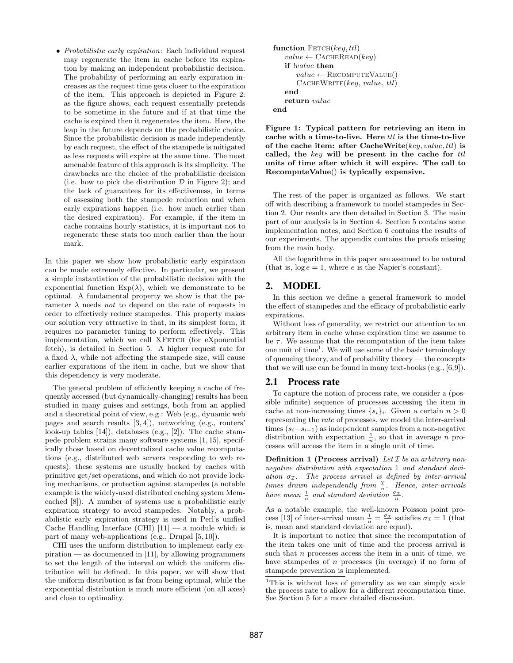• Probabilistic early expiration: Each individual request may regenerate the item in cache before its expiration by making an independent probabilistic decision. The probability of performing an early expiration increases as the request time gets closer to the expiration of the item. This approach is depicted in Figure 2: as the figure shows, each request essentially pretends to be sometime in the future and if at that time the cache is expired then it regenerates the item. Here, the leap in the future depends on the probabilistic choice. Since the probabilistic decision is made independently by each request, the effect of the stampede is mitigated as less requests will expire at the same time. The most amenable feature of this approach is its simplicity. The drawbacks are the choice of the probabilistic decision (i.e. how to pick the distribution  $D$  in Figure 2); and the lack of guarantees for its effectiveness, in terms of assessing both the stampede reduction and when early expirations happen (i.e. how much earlier than the desired expiration). For example, if the item in cache contains hourly statistics, it is important not to regenerate these stats too much earlier than the hour mark.

In this paper we show how probabilistic early expiration can be made extremely effective. In particular, we present a simple instantiation of the probabilistic decision with the exponential function  $Exp(\lambda)$ , which we demonstrate to be optimal. A fundamental property we show is that the parameter  $\lambda$  needs not to depend on the rate of requests in order to effectively reduce stampedes. This property makes our solution very attractive in that, in its simplest form, it requires no parameter tuning to perform effectively. This implementation, which we call XFETCH (for eXponential fetch), is detailed in Section 5. A higher request rate for a fixed  $\lambda$ , while not affecting the stampede size, will cause earlier expirations of the item in cache, but we show that this dependency is very moderate.

The general problem of efficiently keeping a cache of frequently accessed (but dynamically-changing) results has been studied in many guises and settings, both from an applied and a theoretical point of view, e.g.: Web (e.g., dynamic web pages and search results [3, 4]), networking (e.g., routers' look-up tables [14]), databases (e.g., [2]). The cache stampede problem strains many software systems [1, 15], specifically those based on decentralized cache value recomputations (e.g., distributed web servers responding to web requests); these systems are usually backed by caches with primitive get/set operations, and which do not provide locking mechanisms, or protection against stampedes (a notable example is the widely-used distributed caching system Memcached [8]). A number of systems use a probabilistic early expiration strategy to avoid stampedes. Notably, a probabilistic early expiration strategy is used in Perl's unified Cache Handling Interface (CHI)  $[11]$  — a module which is part of many web-applications (e.g., Drupal [5, 10]).

CHI uses the uniform distribution to implement early ex $p$ iration — as documented in [11], by allowing programmers to set the length of the interval on which the uniform distribution will be defined. In this paper, we will show that the uniform distribution is far from being optimal, while the exponential distribution is much more efficient (on all axes) and close to optimality.

```
function FETCH(key, ttl)value \leftarrow CACHEREAD(key)
   if !value then
      value \leftarrow RECOMPUTEVALUE()
      CACHEWRITE(key, value, ttl)end
   return value
end
```
Figure 1: Typical pattern for retrieving an item in cache with a time-to-live. Here  $ttl$  is the time-to-live of the cache item: after CacheWrite $(key, value, ttl)$  is called, the key will be present in the cache for  $ttl$ units of time after which it will expire. The call to RecomputeValue() is typically expensive.

The rest of the paper is organized as follows. We start off with describing a framework to model stampedes in Section 2. Our results are then detailed in Section 3. The main part of our analysis is in Section 4. Section 5 contains some implementation notes, and Section 6 contains the results of our experiments. The appendix contains the proofs missing from the main body.

All the logarithms in this paper are assumed to be natural (that is,  $log e = 1$ , where e is the Napier's constant).

# 2. MODEL

In this section we define a general framework to model the effect of stampedes and the efficacy of probabilistic early expirations.

Without loss of generality, we restrict our attention to an arbitrary item in cache whose expiration time we assume to be  $\tau$ . We assume that the recomputation of the item takes one unit of time<sup>1</sup>. We will use some of the basic terminology of queueing theory, and of probability theory — the concepts that we will use can be found in many text-books (e.g., [6,9]).

#### 2.1 Process rate

To capture the notion of process rate, we consider a (possible infinite) sequence of processes accessing the item in cache at non-increasing times  $\{s_i\}_i$ . Given a certain  $n > 0$ representing the rate of processes, we model the inter-arrival times  $(s_i-s_{i-1})$  as independent samples from a non-negative distribution with expectation  $\frac{1}{n}$ , so that in average *n* processes will access the item in a single unit of time.

**Definition 1 (Process arrival)** Let  $\mathcal I$  be an arbitrary nonnegative distribution with expectation 1 and standard deviation  $\sigma_{\mathcal{I}}$ . The process arrival is defined by inter-arrival times drawn independently from  $\frac{\tau}{n}$ . Hence, inter-arrivals have mean  $\frac{1}{n}$  and standard deviation  $\frac{\sigma_{\mathcal{I}}}{n}$ .

As a notable example, the well-known Poisson point process [13] of inter-arrival mean  $\frac{1}{n} = \frac{\sigma_{\mathcal{I}}}{n}$  satisfies  $\sigma_{\mathcal{I}} = 1$  (that is, mean and standard deviation are equal).

It is important to notice that since the recomputation of the item takes one unit of time and the process arrival is such that  $n$  processes access the item in a unit of time, we have stampedes of n processes (in average) if no form of stampede prevention is implemented.

<sup>&</sup>lt;sup>1</sup>This is without loss of generality as we can simply scale the process rate to allow for a different recomputation time. See Section 5 for a more detailed discussion.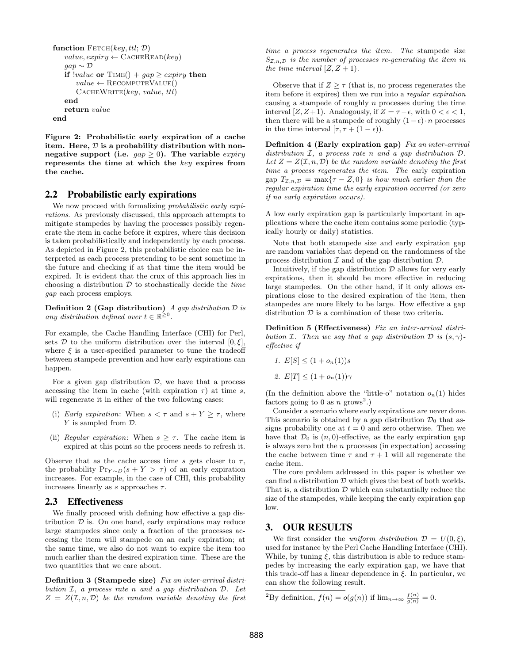```
function FETCH(key, ttl; \mathcal{D})value, expiry \leftarrow CACHEREAD(key)gap \sim \mathcal{D}if value or Time() + gap \geq expiry then
       value \leftarrow RECOMPUTEVALUE()
       CACHEWRITE(key, value, ttl)end
   return value
end
```
Figure 2: Probabilistic early expiration of a cache item. Here,  $D$  is a probability distribution with nonnegative support (i.e.  $gap \geq 0$ ). The variable expiry represents the time at which the key expires from the cache.

#### 2.2 Probabilistic early expirations

We now proceed with formalizing *probabilistic early expi*rations. As previously discussed, this approach attempts to mitigate stampedes by having the processes possibly regenerate the item in cache before it expires, where this decision is taken probabilistically and independently by each process. As depicted in Figure 2, this probabilistic choice can be interpreted as each process pretending to be sent sometime in the future and checking if at that time the item would be expired. It is evident that the crux of this approach lies in choosing a distribution  $D$  to stochastically decide the *time* gap each process employs.

**Definition 2 (Gap distribution)** A gap distribution  $D$  is any distribution defined over  $t \in \mathbb{R}^{\geq 0}$ .

For example, the Cache Handling Interface (CHI) for Perl, sets D to the uniform distribution over the interval  $[0,\xi]$ , where  $\xi$  is a user-specified parameter to tune the tradeoff between stampede prevention and how early expirations can happen.

For a given gap distribution  $D$ , we have that a process accessing the item in cache (with expiration  $\tau$ ) at time s, will regenerate it in either of the two following cases:

- (i) Early expiration: When  $s < \tau$  and  $s + Y \geq \tau$ , where Y is sampled from  $\mathcal{D}$ .
- (ii) Regular expiration: When  $s \geq \tau$ . The cache item is expired at this point so the process needs to refresh it.

Observe that as the cache access time s gets closer to  $\tau$ , the probability  $Pr_{Y\sim D}(s+Y > \tau)$  of an early expiration increases. For example, in the case of CHI, this probability increases linearly as s approaches  $\tau$ .

## 2.3 Effectiveness

We finally proceed with defining how effective a gap distribution  $D$  is. On one hand, early expirations may reduce large stampedes since only a fraction of the processes accessing the item will stampede on an early expiration; at the same time, we also do not want to expire the item too much earlier than the desired expiration time. These are the two quantities that we care about.

Definition 3 (Stampede size) Fix an inter-arrival distribution I, a process rate n and a gap distribution D. Let  $Z = Z(\mathcal{I}, n, \mathcal{D})$  be the random variable denoting the first time a process regenerates the item. The stampede size  $S_{\mathcal{I},n,\mathcal{D}}$  is the number of processes re-generating the item in the time interval  $[Z, Z + 1)$ .

Observe that if  $Z \geq \tau$  (that is, no process regenerates the item before it expires) then we run into a regular expiration causing a stampede of roughly n processes during the time interval [Z, Z+1). Analogously, if  $Z = \tau - \epsilon$ , with  $0 < \epsilon < 1$ , then there will be a stampede of roughly  $(1-\epsilon) \cdot n$  processes in the time interval  $[\tau, \tau + (1 - \epsilon))$ .

Definition 4 (Early expiration gap) Fix an inter-arrival distribution I, a process rate n and a gap distribution D. Let  $Z = Z(\mathcal{I}, n, \mathcal{D})$  be the random variable denoting the first time a process regenerates the item. The early expiration gap  $T_{\mathcal{I},n,\mathcal{D}} = \max\{\tau - Z, 0\}$  is how much earlier than the regular expiration time the early expiration occurred (or zero if no early expiration occurs).

A low early expiration gap is particularly important in applications where the cache item contains some periodic (typically hourly or daily) statistics.

Note that both stampede size and early expiration gap are random variables that depend on the randomness of the process distribution  $\mathcal I$  and of the gap distribution  $\mathcal D$ .

Intuitively, if the gap distribution  $D$  allows for very early expirations, then it should be more effective in reducing large stampedes. On the other hand, if it only allows expirations close to the desired expiration of the item, then stampedes are more likely to be large. How effective a gap distribution  $D$  is a combination of these two criteria.

Definition 5 (Effectiveness) Fix an inter-arrival distribution *I*. Then we say that a gap distribution *D* is  $(s, \gamma)$ effective if

1. 
$$
E[S] \leq (1 + o_n(1))s
$$

2. 
$$
E[T] \leq (1 + o_n(1))\gamma
$$

(In the definition above the "little-o" notation  $o_n(1)$  hides factors going to 0 as n grows<sup>2</sup>.)

Consider a scenario where early expirations are never done. This scenario is obtained by a gap distribution  $\mathcal{D}_0$  that assigns probability one at  $t = 0$  and zero otherwise. Then we have that  $\mathcal{D}_0$  is  $(n, 0)$ -effective, as the early expiration gap is always zero but the  $n$  processes (in expectation) accessing the cache between time  $\tau$  and  $\tau + 1$  will all regenerate the cache item.

The core problem addressed in this paper is whether we can find a distribution  $D$  which gives the best of both worlds. That is, a distribution  $\mathcal D$  which can substantially reduce the size of the stampedes, while keeping the early expiration gap low.

## 3. OUR RESULTS

We first consider the uniform distribution  $\mathcal{D} = U(0,\xi)$ , used for instance by the Perl Cache Handling Interface (CHI). While, by tuning  $\xi$ , this distribution is able to reduce stampedes by increasing the early expiration gap, we have that this trade-off has a linear dependence in  $\xi$ . In particular, we can show the following result.

<sup>2</sup>By definition,  $f(n) = o(g(n))$  if  $\lim_{n \to \infty} \frac{f(n)}{g(n)} = 0$ .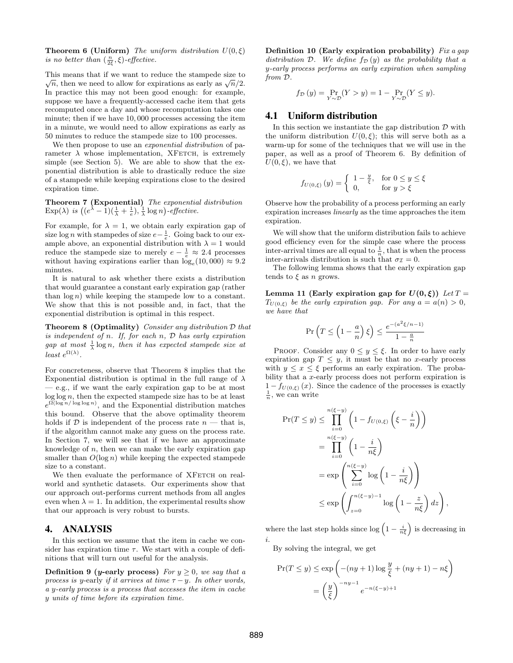**Theorem 6 (Uniform)** The uniform distribution  $U(0,\xi)$ is no better than  $(\frac{n}{2\xi}, \xi)$ -effective.

This means that if we want to reduce the stampede size to  $\subset$ Ins means that if we want to reduce the stampede size to  $\overline{n}$ , then we need to allow for expirations as early as  $\sqrt{n}/2$ . In practice this may not been good enough: for example, suppose we have a frequently-accessed cache item that gets recomputed once a day and whose recomputation takes one minute; then if we have 10, 000 processes accessing the item in a minute, we would need to allow expirations as early as 50 minutes to reduce the stampede size to 100 processes.

We then propose to use an *exponential distribution* of parameter  $\lambda$  whose implementation, XFETCH, is extremely simple (see Section 5). We are able to show that the exponential distribution is able to drastically reduce the size of a stampede while keeping expirations close to the desired expiration time.

Theorem 7 (Exponential) The exponential distribution  $\text{Exp}(\lambda)$  is  $((e^{\lambda}-1)(\frac{1}{\lambda}+\frac{1}{e}), \frac{1}{\lambda}\log n)$ -effective.

For example, for  $\lambda = 1$ , we obtain early expiration gap of size log *n* with stampedes of size  $e - \frac{1}{e}$ . Going back to our example above, an exponential distribution with  $\lambda = 1$  would reduce the stampede size to merely  $e - \frac{1}{e} \approx 2.4$  processes without having expirations earlier than  $log_e(10,000) \approx 9.2$ minutes.

It is natural to ask whether there exists a distribution that would guarantee a constant early expiration gap (rather than  $\log n$ ) while keeping the stampede low to a constant. We show that this is not possible and, in fact, that the exponential distribution is optimal in this respect.

**Theorem 8 (Optimality)** Consider any distribution  $D$  that is independent of n. If, for each  $n$ ,  $D$  has early expiration gap at most  $\frac{1}{\lambda} \log n$ , then it has expected stampede size at least  $e^{\Omega(\lambda)}$ .

For concreteness, observe that Theorem 8 implies that the Exponential distribution is optimal in the full range of  $\lambda$ — e.g., if we want the early expiration gap to be at most  $log log n$ , then the expected stampede size has to be at least  $e^{\Omega(\log n/\log \log n)}$ , and the Exponential distribution matches this bound. Observe that the above optimality theorem holds if  $\mathcal D$  is independent of the process rate  $n$  — that is, if the algorithm cannot make any guess on the process rate. In Section 7, we will see that if we have an approximate knowledge of  $n$ , then we can make the early expiration gap smaller than  $O(\log n)$  while keeping the expected stampede size to a constant.

We then evaluate the performance of XFETCH on realworld and synthetic datasets. Our experiments show that our approach out-performs current methods from all angles even when  $\lambda = 1$ . In addition, the experimental results show that our approach is very robust to bursts.

### 4. ANALYSIS

In this section we assume that the item in cache we consider has expiration time  $\tau$ . We start with a couple of definitions that will turn out useful for the analysis.

**Definition 9 (y-early process)** For  $y \geq 0$ , we say that a process is y-early if it arrives at time  $\tau - y$ . In other words, a y-early process is a process that accesses the item in cache y units of time before its expiration time.

Definition 10 (Early expiration probability) Fix a gap distribution D. We define  $f_D(y)$  as the probability that a y-early process performs an early expiration when sampling from D.

$$
f_{\mathcal{D}}(y) = \Pr_{Y \sim \mathcal{D}}(Y > y) = 1 - \Pr_{Y \sim \mathcal{D}}(Y \le y).
$$

## 4.1 Uniform distribution

In this section we instantiate the gap distribution  $\mathcal D$  with the uniform distribution  $U(0, \xi)$ ; this will serve both as a warm-up for some of the techniques that we will use in the paper, as well as a proof of Theorem 6. By definition of  $U(0,\xi)$ , we have that

$$
f_{U(0,\xi)}(y) = \begin{cases} 1 - \frac{y}{\xi}, & \text{for } 0 \le y \le \xi \\ 0, & \text{for } y > \xi \end{cases}
$$

Observe how the probability of a process performing an early expiration increases linearly as the time approaches the item expiration.

We will show that the uniform distribution fails to achieve good efficiency even for the simple case where the process inter-arrival times are all equal to  $\frac{1}{n}$ , that is when the process inter-arrivals distribution is such that  $\sigma_{\mathcal{I}} = 0$ .

The following lemma shows that the early expiration gap tends to  $\xi$  as n grows.

Lemma 11 (Early expiration gap for  $U(0,\xi)$ ) Let  $T =$  $T_{U(0,\xi)}$  be the early expiration gap. For any  $a = a(n) > 0$ , we have that

$$
\Pr\left(T \le \left(1 - \frac{a}{n}\right)\xi\right) \le \frac{e^{-(a^2\xi/n - 1)}}{1 - \frac{a}{n}}
$$

PROOF. Consider any  $0 \leq y \leq \xi$ . In order to have early expiration gap  $T \leq y$ , it must be that no x-early process with  $y \leq x \leq \xi$  performs an early expiration. The probability that a x-early process does not perform expiration is  $1 - f_{U(0,\xi)}(x)$ . Since the cadence of the processes is exactly  $\frac{1}{n}$ , we can write

$$
\Pr(T \le y) \le \prod_{i=0}^{n(\xi-y)} \left(1 - f_{U(0,\xi)}\left(\xi - \frac{i}{n}\right)\right)
$$
  
= 
$$
\prod_{i=0}^{n(\xi-y)} \left(1 - \frac{i}{n\xi}\right)
$$
  
= 
$$
\exp\left(\sum_{i=0}^{n(\xi-y)} \log\left(1 - \frac{i}{n\xi}\right)\right)
$$
  

$$
\le \exp\left(\int_{z=0}^{n(\xi-y)-1} \log\left(1 - \frac{z}{n\xi}\right) dz\right),
$$

where the last step holds since  $\log\left(1-\frac{i}{n\xi}\right)$  is decreasing in i.

By solving the integral, we get

$$
\Pr(T \le y) \le \exp\left(-(ny+1)\log\frac{y}{\xi} + (ny+1) - n\xi\right)
$$

$$
= \left(\frac{y}{\xi}\right)^{-ny-1} e^{-n(\xi-y)+1}
$$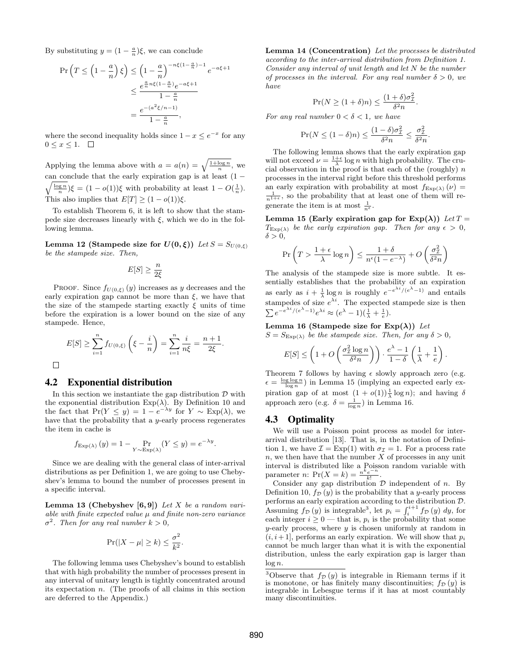By substituting  $y = (1 - \frac{a}{n})\xi$ , we can conclude

$$
\Pr\left(T \le \left(1 - \frac{a}{n}\right)\xi\right) \le \left(1 - \frac{a}{n}\right)^{-n\xi\left(1 - \frac{a}{n}\right) - 1} e^{-a\xi + 1}
$$

$$
\le \frac{e^{\frac{a}{n}n\xi\left(1 - \frac{a}{n}\right)}e^{-a\xi + 1}}{1 - \frac{a}{n}}
$$

$$
= \frac{e^{-(a^2\xi/n - 1)}}{1 - \frac{a}{n}},
$$

where the second inequality holds since  $1 - x \leq e^{-x}$  for any  $0 \leq x \leq 1.$ 

Applying the lemma above with  $a = a(n) = \sqrt{\frac{1 + \log n}{n}}$ , we can conclude that the early expiration gap is at least  $(1$ can conclude that the early expiration gap is at least  $(1 - \sqrt{\frac{\log n}{n}})\xi = (1 - o(1))\xi$  with probability at least  $1 - O(\frac{1}{n})$ . This also implies that  $E[T] \geq (1 - o(1))\xi$ .

To establish Theorem 6, it is left to show that the stampede size decreases linearly with  $\xi$ , which we do in the following lemma.

Lemma 12 (Stampede size for  $U(0,\xi)$ ) Let  $S = S_{U(0,\xi)}$ be the stampede size. Then,

$$
E[S] \ge \frac{n}{2\xi}
$$

PROOF. Since  $f_{U(0,\xi)}(y)$  increases as y decreases and the early expiration gap cannot be more than  $\xi$ , we have that the size of the stampede starting exactly  $\xi$  units of time before the expiration is a lower bound on the size of any stampede. Hence,

$$
E[S] \ge \sum_{i=1}^{n} f_{U(0,\xi)} \left( \xi - \frac{i}{n} \right) = \sum_{i=1}^{n} \frac{i}{n\xi} = \frac{n+1}{2\xi}.
$$

#### 4.2 Exponential distribution

 $\Box$ 

In this section we instantiate the gap distribution  $D$  with the exponential distribution  $Exp(\lambda)$ . By Definition 10 and the fact that  $Pr(Y \le y) = 1 - e^{-\lambda y}$  for  $Y \sim Exp(\lambda)$ , we have that the probability that a  $y$ -early process regenerates the item in cache is

$$
f_{\text{Exp}(\lambda)}(y) = 1 - \Pr_{Y \sim \text{Exp}(\lambda)}(Y \le y) = e^{-\lambda y}.
$$

Since we are dealing with the general class of inter-arrival distributions as per Definition 1, we are going to use Chebyshev's lemma to bound the number of processes present in a specific interval.

Lemma 13 (Chebyshev  $[6, 9]$ ) Let X be a random variable with finite expected value  $\mu$  and finite non-zero variance  $\sigma^2$ . Then for any real number  $k > 0$ ,

$$
\Pr(|X - \mu| \ge k) \le \frac{\sigma^2}{k^2}.
$$

The following lemma uses Chebyshev's bound to establish that with high probability the number of processes present in any interval of unitary length is tightly concentrated around its expectation n. (The proofs of all claims in this section are deferred to the Appendix.)

Lemma 14 (Concentration) Let the processes be distributed according to the inter-arrival distribution from Definition 1. Consider any interval of unit length and let N be the number of processes in the interval. For any real number  $\delta > 0$ , we have

$$
\Pr(N \ge (1+\delta)n) \le \frac{(1+\delta)\sigma_{\mathcal{I}}^2}{\delta^2 n}.
$$

For any real number  $0 < \delta < 1$ , we have

$$
\Pr(N \le (1 - \delta)n) \le \frac{(1 - \delta)\sigma_{\mathcal{I}}^2}{\delta^2 n} \le \frac{\sigma_{\mathcal{I}}^2}{\delta^2 n}.
$$

The following lemma shows that the early expiration gap will not exceed  $\nu = \frac{1+\epsilon}{\lambda} \log n$  with high probability. The crucial observation in the proof is that each of the (roughly)  $n$ processes in the interval right before this threshold performs an early expiration with probability at most  $f_{\text{Exp}(\lambda)}(\nu) =$  $\frac{1}{n^{1+\epsilon}}$ , so the probability that at least one of them will regenerate the item is at most  $\frac{1}{n^{\epsilon}}$ .

Lemma 15 (Early expiration gap for  $Exp(\lambda)$ ) Let  $T =$  $T_{\text{Exp}(\lambda)}$  be the early expiration gap. Then for any  $\epsilon > 0$ ,  $\delta > 0$ .

$$
\Pr \left( T > \frac{1+\epsilon}{\lambda} \log n \right) \leq \frac{1+\delta}{n^{\epsilon}(1-e^{-\lambda})} + O \left( \frac{\sigma_{\mathcal{I}}^2}{\delta^2 n} \right)
$$

The analysis of the stampede size is more subtle. It essentially establishes that the probability of an expiration as early as  $i + \frac{1}{\lambda} \log n$  is roughly  $e^{-e^{\lambda i}/(e^{\lambda} - 1)}$  and entails stampedes of size  $e^{\lambda i}$ . The expected stampede size is then  $\sum e^{-e^{\lambda i}/(e^{\lambda}-1)}e^{\lambda i} \approx (e^{\lambda}-1)(\frac{1}{\lambda}+\frac{1}{e}).$ 

Lemma 16 (Stampede size for  $Exp(\lambda)$ ) Let  $S = S_{\text{Exp}(\lambda)}$  be the stampede size. Then, for any  $\delta > 0$ ,

$$
E[S] \leq \left(1 + O\left(\frac{\sigma_{\mathcal{I}}^2 \log n}{\delta^2 n}\right)\right) \cdot \frac{e^\lambda - 1}{1 - \delta} \left(\frac{1}{\lambda} + \frac{1}{e}\right).
$$

Theorem 7 follows by having  $\epsilon$  slowly approach zero (e.g.  $\epsilon = \frac{\log \log n}{\log n}$ ) in Lemma 15 (implying an expected early expiration gap of at most  $(1 + o(1))\frac{1}{\lambda} \log n$ ; and having  $\delta$ approach zero (e.g.  $\delta = \frac{1}{\log n}$ ) in Lemma 16.

#### 4.3 Optimality

We will use a Poisson point process as model for interarrival distribution [13]. That is, in the notation of Definition 1, we have  $\mathcal{I} = \text{Exp}(1)$  with  $\sigma_{\mathcal{I}} = 1$ . For a process rate  $n$ , we then have that the number  $X$  of processes in any unit interval is distributed like a Poisson random variable with parameter *n*:  $Pr(X = k) = \frac{n^k e^{-n}}{k!}$ .

Consider any gap distribution  $D$  independent of n. By Definition 10,  $f_{\mathcal{D}}(y)$  is the probability that a y-early process performs an early expiration according to the distribution D. Assuming  $f_{\mathcal{D}}(y)$  is integrable<sup>3</sup>, let  $p_i = \int_i^{i+1} f_{\mathcal{D}}(y) dy$ , for each integer  $i \geq 0$  — that is,  $p_i$  is the probability that some  $y$ -early process, where  $y$  is chosen uniformly at random in  $(i, i+1]$ , performs an early expiration. We will show that  $p_i$ cannot be much larger than what it is with the exponential distribution, unless the early expiration gap is larger than  $\log n$ .

 $\overline{3\text{Observe}}$  that  $f_{\mathcal{D}}(y)$  is integrable in Riemann terms if it is monotone, or has finitely many discontinuities;  $f_{\mathcal{D}}(y)$  is integrable in Lebesgue terms if it has at most countably many discontinuities.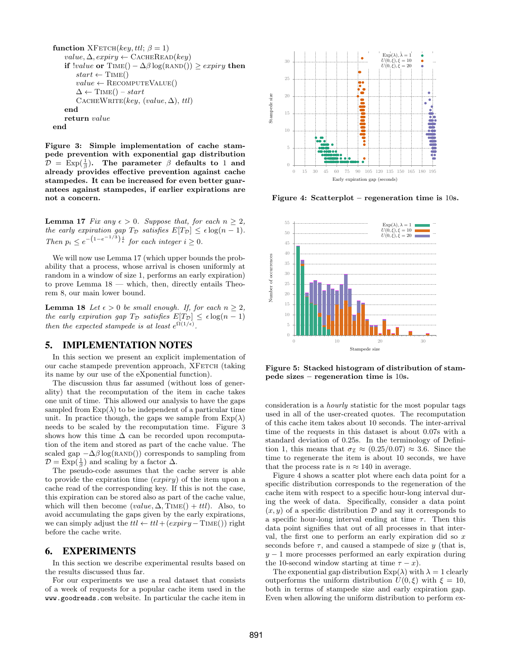```
function XFETCH(key, ttl; \beta = 1)value, \Delta, expiry \leftarrow \text{CACHEREAD}(key)if |value \text{ or } Time() - \Delta\beta \log(RAND()) \ge expiry then
        start \leftarrow TIME()value \leftarrow RECOMPUTEVALUE()
        \Delta \leftarrow \text{TIME}() - startCACHEWRITE(key, (value, \Delta), \, ttl)end
    return value
end
```
Figure 3: Simple implementation of cache stampede prevention with exponential gap distribution  $\mathcal{D} = \text{Exp}(\frac{1}{\beta})$ . The parameter  $\beta$  defaults to 1 and already provides effective prevention against cache stampedes. It can be increased for even better guarantees against stampedes, if earlier expirations are not a concern.

**Lemma 17** Fix any  $\epsilon > 0$ . Suppose that, for each  $n \geq 2$ , the early expiration gap  $T_{\mathcal{D}}$  satisfies  $E[T_{\mathcal{D}}] \leq \epsilon \log(n-1)$ . Then  $p_i \n\t\leq e^{-\left(1-e^{-1/3}\right)\frac{i}{\epsilon}}$  for each integer  $i \geq 0$ .

We will now use Lemma 17 (which upper bounds the probability that a process, whose arrival is chosen uniformly at random in a window of size 1, performs an early expiration) to prove Lemma 18 — which, then, directly entails Theorem 8, our main lower bound.

**Lemma 18** Let  $\epsilon > 0$  be small enough. If, for each  $n \geq 2$ , the early expiration gap  $T_{\mathcal{D}}$  satisfies  $E[T_{\mathcal{D}}] \leq \epsilon \log(n-1)$ then the expected stampede is at least  $e^{\Omega(1/\epsilon)}$ .

# 5. IMPLEMENTATION NOTES

In this section we present an explicit implementation of our cache stampede prevention approach, XFETCH (taking its name by our use of the eXponential function).

The discussion thus far assumed (without loss of generality) that the recomputation of the item in cache takes one unit of time. This allowed our analysis to have the gaps sampled from  $Exp(\lambda)$  to be independent of a particular time unit. In practice though, the gaps we sample from  $Exp(\lambda)$ needs to be scaled by the recomputation time. Figure 3 shows how this time  $\Delta$  can be recorded upon recomputation of the item and stored as part of the cache value. The scaled gap  $-\Delta\beta \log(\text{RAND}(\theta))$  corresponds to sampling from  $\mathcal{D} = \text{Exp}(\frac{1}{\beta})$  and scaling by a factor  $\Delta$ .

The pseudo-code assumes that the cache server is able to provide the expiration time (expiry) of the item upon a cache read of the corresponding key. If this is not the case, this expiration can be stored also as part of the cache value, which will then become  $(value, \Delta, TIME() + ttl)$ . Also, to avoid accumulating the gaps given by the early expirations, we can simply adjust the  $ttl \leftarrow ttl + (expriy - TIME())$  right before the cache write.

#### 6. EXPERIMENTS

In this section we describe experimental results based on the results discussed thus far.

For our experiments we use a real dataset that consists of a week of requests for a popular cache item used in the www.goodreads.com website. In particular the cache item in



Figure 4: Scatterplot – regeneration time is 10s.



Figure 5: Stacked histogram of distribution of stampede sizes – regeneration time is 10s.

consideration is a hourly statistic for the most popular tags used in all of the user-created quotes. The recomputation of this cache item takes about 10 seconds. The inter-arrival time of the requests in this dataset is about 0.07s with a standard deviation of 0.25s. In the terminology of Definition 1, this means that  $\sigma_{\mathcal{I}} \approx (0.25/0.07) \approx 3.6$ . Since the time to regenerate the item is about 10 seconds, we have that the process rate is  $n \approx 140$  in average.

Figure 4 shows a scatter plot where each data point for a specific distribution corresponds to the regeneration of the cache item with respect to a specific hour-long interval during the week of data. Specifically, consider a data point  $(x, y)$  of a specific distribution  $\mathcal{D}$  and say it corresponds to a specific hour-long interval ending at time  $\tau$ . Then this data point signifies that out of all processes in that interval, the first one to perform an early expiration did so  $x$ seconds before  $\tau$ , and caused a stampede of size y (that is,  $y - 1$  more processes performed an early expiration during the 10-second window starting at time  $\tau - x$ ).

The exponential gap distribution  $Exp(\lambda)$  with  $\lambda = 1$  clearly outperforms the uniform distribution  $U(0,\xi)$  with  $\xi = 10$ , both in terms of stampede size and early expiration gap. Even when allowing the uniform distribution to perform ex-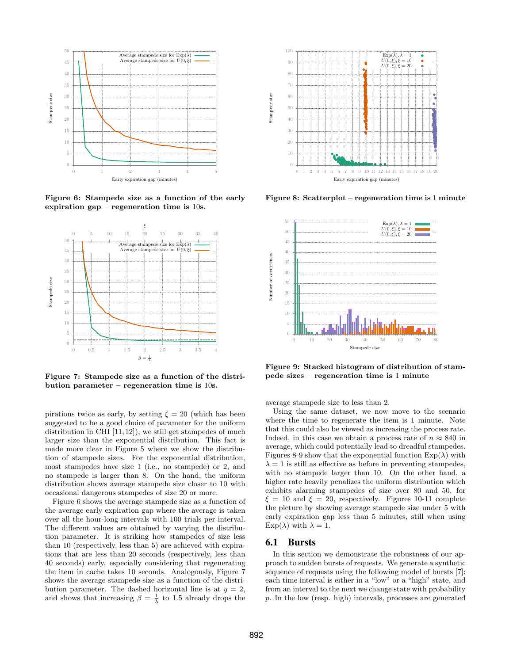

Figure 6: Stampede size as a function of the early expiration gap – regeneration time is 10s.



Figure 7: Stampede size as a function of the distribution parameter – regeneration time is 10s.

pirations twice as early, by setting  $\xi = 20$  (which has been suggested to be a good choice of parameter for the uniform distribution in CHI  $[11, 12]$ , we still get stampedes of much larger size than the exponential distribution. This fact is made more clear in Figure 5 where we show the distribution of stampede sizes. For the exponential distribution, most stampedes have size 1 (i.e., no stampede) or 2, and no stampede is larger than 8. On the hand, the uniform distribution shows average stampede size closer to 10 with occasional dangerous stampedes of size 20 or more.

Figure 6 shows the average stampede size as a function of the average early expiration gap where the average is taken over all the hour-long intervals with 100 trials per interval. The different values are obtained by varying the distribution parameter. It is striking how stampedes of size less than 10 (respectively, less than 5) are achieved with expirations that are less than 20 seconds (respectively, less than 40 seconds) early, especially considering that regenerating the item in cache takes 10 seconds. Analogously, Figure 7 shows the average stampede size as a function of the distribution parameter. The dashed horizontal line is at  $y = 2$ , and shows that increasing  $\beta = \frac{1}{\lambda}$  to 1.5 already drops the



Figure 8: Scatterplot – regeneration time is 1 minute



Figure 9: Stacked histogram of distribution of stampede sizes – regeneration time is 1 minute

average stampede size to less than 2.

Using the same dataset, we now move to the scenario where the time to regenerate the item is 1 minute. Note that this could also be viewed as increasing the process rate. Indeed, in this case we obtain a process rate of  $n \approx 840$  in average, which could potentially lead to dreadful stampedes. Figures 8-9 show that the exponential function  $Exp(\lambda)$  with  $\lambda = 1$  is still as effective as before in preventing stampedes, with no stampede larger than 10. On the other hand, a higher rate heavily penalizes the uniform distribution which exhibits alarming stampedes of size over 80 and 50, for  $\xi = 10$  and  $\xi = 20$ , respectively. Figures 10-11 complete the picture by showing average stampede size under 5 with early expiration gap less than 5 minutes, still when using  $Exp(\lambda)$  with  $\lambda = 1$ .

#### 6.1 Bursts

In this section we demonstrate the robustness of our approach to sudden bursts of requests. We generate a synthetic sequence of requests using the following model of bursts [7]: each time interval is either in a "low" or a "high" state, and from an interval to the next we change state with probability p. In the low (resp. high) intervals, processes are generated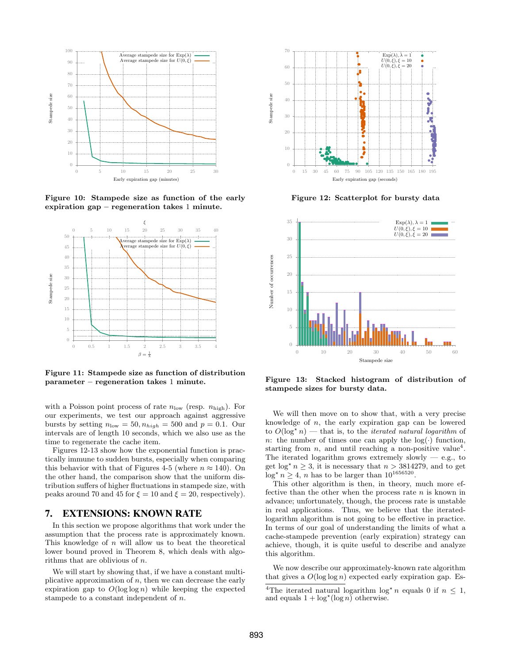

Figure 10: Stampede size as function of the early expiration gap – regeneration takes 1 minute.



Figure 11: Stampede size as function of distribution parameter – regeneration takes 1 minute.

with a Poisson point process of rate  $n_{\text{low}}$  (resp.  $n_{\text{high}}$ ). For our experiments, we test our approach against aggressive bursts by setting  $n_{\text{low}} = 50, n_{\text{high}} = 500$  and  $p = 0.1$ . Our intervals are of length 10 seconds, which we also use as the time to regenerate the cache item.

Figures 12-13 show how the exponential function is practically immune to sudden bursts, especially when comparing this behavior with that of Figures 4-5 (where  $n \approx 140$ ). On the other hand, the comparison show that the uniform distribution suffers of higher fluctuations in stampede size, with peaks around 70 and 45 for  $\xi = 10$  and  $\xi = 20$ , respectively).

#### 7. EXTENSIONS: KNOWN RATE

In this section we propose algorithms that work under the assumption that the process rate is approximately known. This knowledge of  $n$  will allow us to beat the theoretical lower bound proved in Theorem 8, which deals with algorithms that are oblivious of n.

We will start by showing that, if we have a constant multiplicative approximation of  $n$ , then we can decrease the early expiration gap to  $O(\log \log n)$  while keeping the expected stampede to a constant independent of n.



Figure 12: Scatterplot for bursty data



Figure 13: Stacked histogram of distribution of stampede sizes for bursty data.

We will then move on to show that, with a very precise knowledge of n, the early expiration gap can be lowered to  $O(\log^* n)$  — that is, to the *iterated natural logarithm* of n: the number of times one can apply the  $log(.)$  function, starting from  $n$ , and until reaching a non-positive value<sup>4</sup>. The iterated logarithm grows extremely slowly  $-$  e.g., to get  $\log^* n \geq 3$ , it is necessary that  $n > 3814279$ , and to get  $\log^{\star} n \geq 4$ , *n* has to be larger than  $10^{1656520}$ .

This other algorithm is then, in theory, much more effective than the other when the process rate  $n$  is known in advance; unfortunately, though, the process rate is unstable in real applications. Thus, we believe that the iteratedlogarithm algorithm is not going to be effective in practice. In terms of our goal of understanding the limits of what a cache-stampede prevention (early expiration) strategy can achieve, though, it is quite useful to describe and analyze this algorithm.

We now describe our approximately-known rate algorithm that gives a  $O(\log \log n)$  expected early expiration gap. Es-

<sup>&</sup>lt;sup>4</sup>The iterated natural logarithm  $\log^* n$  equals 0 if  $n \leq 1$ , and equals  $1 + \log^* (\log n)$  otherwise.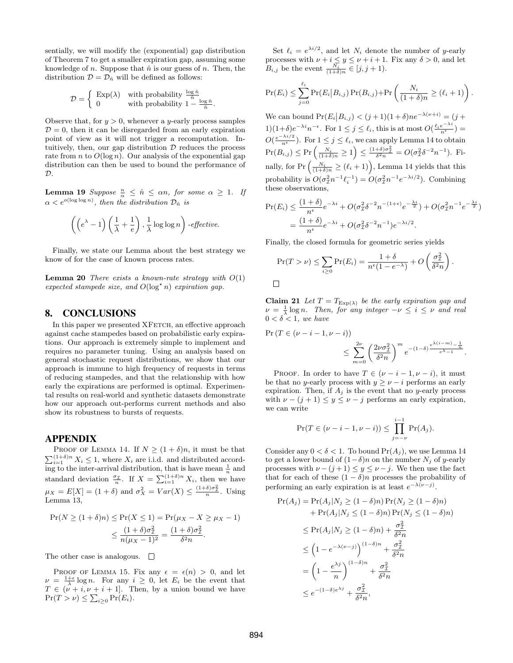sentially, we will modify the (exponential) gap distribution of Theorem 7 to get a smaller expiration gap, assuming some knowledge of n. Suppose that  $\hat{n}$  is our guess of n. Then, the distribution  $\mathcal{D} = \mathcal{D}_{\hat{n}}$  will be defined as follows:

$$
\mathcal{D} = \begin{cases} \n\text{Exp}(\lambda) & \text{with probability } \frac{\log \hat{n}}{\hat{n}} \\ \n0 & \text{with probability } 1 - \frac{\log \hat{n}}{\hat{n}} \n\end{cases}
$$

Observe that, for  $y > 0$ , whenever a y-early process samples  $D = 0$ , then it can be disregarded from an early expiration point of view as it will not trigger a recomputation. Intuitively, then, our gap distribution  $D$  reduces the process rate from n to  $O(\log n)$ . Our analysis of the exponential gap distribution can then be used to bound the performance of  $\mathcal{D}$ .

**Lemma 19** Suppose  $\frac{n}{\alpha} \leq \hat{n} \leq \alpha n$ , for some  $\alpha \geq 1$ . If  $\alpha < e^{o(\log \log n)}$ , then the distribution  $\mathcal{D}_{\hat{n}}$  is

$$
\left( \left( e^{\lambda} - 1 \right) \left( \frac{1}{\lambda} + \frac{1}{e} \right), \frac{1}{\lambda} \log \log n \right) \text{-effective.}
$$

Finally, we state our Lemma about the best strategy we know of for the case of known process rates.

**Lemma 20** There exists a known-rate strategy with  $O(1)$ expected stampede size, and  $O(\log^* n)$  expiration gap.

#### 8. CONCLUSIONS

In this paper we presented XFETCH, an effective approach against cache stampedes based on probabilistic early expirations. Our approach is extremely simple to implement and requires no parameter tuning. Using an analysis based on general stochastic request distributions, we show that our approach is immune to high frequency of requests in terms of reducing stampedes, and that the relationship with how early the expirations are performed is optimal. Experimental results on real-world and synthetic datasets demonstrate how our approach out-performs current methods and also show its robustness to bursts of requests.

#### APPENDIX

PROOF OF LEMMA 14. If  $N \geq (1+\delta)n$ , it must be that  $\sum_{i=1}^{(1+\delta)n} X_i \leq 1$ , where  $X_i$  are i.i.d. and distributed accord- $\frac{1}{n}$  to the inter-arrival distribution, that is have mean  $\frac{1}{n}$  and standard deviation  $\frac{\sigma_{\mathcal{I}}}{n}$ . If  $X = \sum_{i=1}^{\left(1+\delta\right)n} X_i$ , then we have  $\mu_X = E[X] = (1 + \delta)$  and  $\sigma_X^2 = Var(X) \leq \frac{(1+\delta)\sigma_T^2}{n}$ . Using Lemma 13,

$$
\Pr(N \ge (1+\delta)n) \le \Pr(X \le 1) = \Pr(\mu_X - X \ge \mu_X - 1)
$$

$$
\le \frac{(1+\delta)\sigma_Z^2}{n(\mu_X - 1)^2} = \frac{(1+\delta)\sigma_Z^2}{\delta^2 n}.
$$

The other case is analogous.  $\Box$ 

PROOF OF LEMMA 15. Fix any  $\epsilon = \epsilon(n) > 0$ , and let  $\nu = \frac{1+\epsilon}{\lambda} \log n$ . For any  $i \geq 0$ , let  $E_i$  be the event that  $T \in (\nu + i, \nu + i + 1]$ . Then, by a union bound we have  $Pr(T > \nu) \leq \sum_{i \geq 0} Pr(E_i).$ 

Set  $\ell_i = e^{\lambda i/2}$ , and let  $N_i$  denote the number of y-early processes with  $\nu + i \leq y \leq \nu + i + 1$ . Fix any  $\delta > 0$ , and let  $B_{i,j}$  be the event  $\frac{N_i}{(1+\delta)n} \in [j, j+1)$ .

$$
\Pr(E_i) \leq \sum_{j=0}^{\ell_i} \Pr(E_i | B_{i,j}) \Pr(B_{i,j}) + \Pr\left(\frac{N_i}{(1+\delta)n} \geq (\ell_i+1)\right).
$$

We can bound  $Pr(E_i | B_{i,j}) < (j+1)(1+\delta)ne^{-\lambda(\nu+i)} = (j+1)(1+\delta)ne^{-\lambda(\nu+i)}$  $1(1+\delta)e^{-\lambda i}n^{-\epsilon}$ . For  $1 \leq j \leq \ell_i$ , this is at most  $O(\frac{\ell_i e^{-\lambda i}}{n^{\epsilon}})$  =  $O(\frac{e^{-\lambda i/2}}{n^{\epsilon}})$ . For  $1 \leq j \leq \ell_i$ , we can apply Lemma 14 to obtain  $\Pr(B_{i,j}) \le \Pr\left(\frac{N_i}{(1+\delta)n} \ge 1\right) \le \frac{(1+\delta)\sigma_T^2}{\delta^2 n} = O(\sigma_T^2 \delta^{-2} n^{-1}).$  Finally, for  $Pr\left(\frac{N_i}{(1+\delta)n} \geq (\ell_i+1)\right)$ , Lemma 14 yields that this probability is  $O(\sigma_{\mathcal{I}}^2 n^{-1} \ell_i^{-1}) = O(\sigma_{\mathcal{I}}^2 n^{-1} e^{-\lambda i/2})$ . Combining these observations,

$$
\Pr(E_i) \le \frac{(1+\delta)}{n^{\epsilon}} e^{-\lambda i} + O(\sigma_{\mathcal{I}}^2 \delta^{-2} n^{-(1+\epsilon)} e^{-\frac{\lambda i}{2}}) + O(\sigma_{\mathcal{I}}^2 n^{-1} e^{-\frac{\lambda i}{2}})
$$

$$
= \frac{(1+\delta)}{n^{\epsilon}} e^{-\lambda i} + O(\sigma_{\mathcal{I}}^2 \delta^{-2} n^{-1}) e^{-\lambda i/2}.
$$

Finally, the closed formula for geometric series yields

$$
\Pr(T > \nu) \leq \sum_{i \geq 0} \Pr(E_i) = \frac{1+\delta}{n^{\epsilon}(1-e^{-\lambda})} + O\left(\frac{\sigma_{\mathcal{I}}^2}{\delta^2 n}\right).
$$

 $\Box$ 

Claim 21 Let  $T = T_{\text{Exp}(\lambda)}$  be the early expiration gap and  $\nu = \frac{1}{\lambda} \log n$ . Then, for any integer  $-\nu \leq i \leq \nu$  and real  $0 < \delta < 1$ , we have

$$
\begin{split} \Pr(T \in (\nu - i - 1, \nu - i)) \\ &\leq \sum_{m=0}^{2\nu} \left( \frac{2\nu\sigma_{\mathcal{I}}^2}{\delta^2 n} \right)^m e^{-(1-\delta) \frac{e^{\lambda(i-m)} - \frac{1}{n}}{e^{\lambda} - 1}} . \end{split}
$$

PROOF. In order to have  $T \in (\nu - i - 1, \nu - i)$ , it must be that no y-early process with  $y \geq \nu - i$  performs an early expiration. Then, if  $A_j$  is the event that no y-early process with  $\nu - (j + 1) \leq y \leq \nu - j$  performs an early expiration, we can write

$$
\Pr(T \in (\nu - i - 1, \nu - i)) \le \prod_{j = -\nu}^{i-1} \Pr(A_j).
$$

Consider any  $0 < \delta < 1$ . To bound  $Pr(A_i)$ , we use Lemma 14 to get a lower bound of  $(1-\delta)n$  on the number  $N_i$  of y-early processes with  $\nu - (j + 1) \le y \le \nu - j$ . We then use the fact that for each of these  $(1 - \delta)n$  processes the probability of performing an early expiration is at least  $e^{-\lambda(\nu-j)}$ .

$$
\Pr(A_j) = \Pr(A_j | N_j \ge (1 - \delta)n) \Pr(N_j \ge (1 - \delta)n)
$$
  
+ 
$$
\Pr(A_j | N_j \le (1 - \delta)n) \Pr(N_j \le (1 - \delta)n)
$$
  

$$
\le \Pr(A_j | N_j \ge (1 - \delta)n) + \frac{\sigma_Z^2}{\delta^2 n}
$$
  

$$
\le \left(1 - e^{-\lambda(\nu - j)}\right)^{(1 - \delta)n} + \frac{\sigma_Z^2}{\delta^2 n}
$$
  

$$
= \left(1 - \frac{e^{\lambda j}}{n}\right)^{(1 - \delta)n} + \frac{\sigma_Z^2}{\delta^2 n}
$$
  

$$
\le e^{-(1 - \delta)e^{\lambda j}} + \frac{\sigma_Z^2}{\delta^2 n},
$$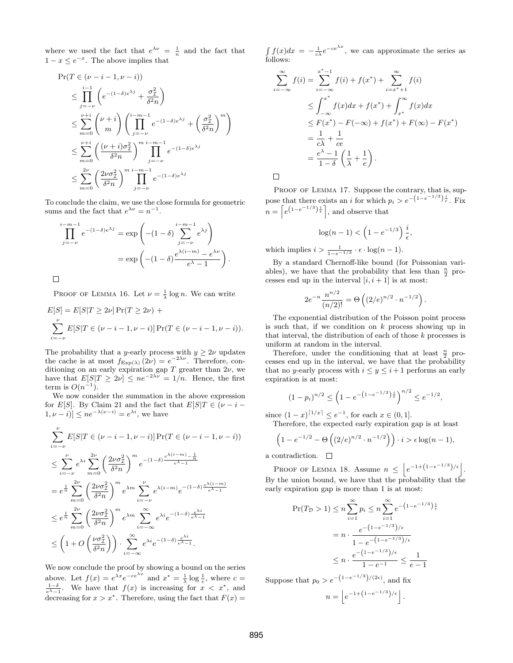where we used the fact that  $e^{\lambda \nu} = \frac{1}{n}$  and the fact that  $1 - x \leq e^{-x}$ . The above implies that

$$
\Pr(T \in (\nu - i - 1, \nu - i))
$$
\n
$$
\leq \prod_{j=-\nu}^{i-1} \left( e^{-(1-\delta)e^{\lambda j}} + \frac{\sigma_{\mathcal{I}}^2}{\delta^2 n} \right)
$$
\n
$$
\leq \sum_{m=0}^{\nu+i} {\nu+i \choose m} \left( \prod_{j=-\nu}^{i-m-1} e^{-(1-\delta)e^{\lambda j}} + \left( \frac{\sigma_{\mathcal{I}}^2}{\delta^2 n} \right)^m \right)
$$
\n
$$
\leq \sum_{m=0}^{\nu+i} \left( \frac{(\nu+i)\sigma_{\mathcal{I}}^2}{\delta^2 n} \right)^{m} \prod_{j=-\nu}^{i-m-1} e^{-(1-\delta)e^{\lambda j}}
$$
\n
$$
\leq \sum_{m=0}^{2\nu} \left( \frac{2\nu\sigma_{\mathcal{I}}^2}{\delta^2 n} \right)^{m} \prod_{j=-\nu}^{i-m-1} e^{-(1-\delta)e^{\lambda j}}
$$

To conclude the claim, we use the close formula for geometric sums and the fact that  $e^{\lambda \nu} = n^{-1}$ .

$$
\prod_{j=-\nu}^{i-m-1} e^{-(1-\delta)e^{\lambda j}} = \exp\left(-(1-\delta)\sum_{j=-\nu}^{i-m-1} e^{\lambda j}\right)
$$

$$
= \exp\left(-(1-\delta)\frac{e^{\lambda(i-m)} - e^{\lambda \nu}}{e^{\lambda} - 1}\right).
$$

 $\Box$ 

PROOF OF LEMMA 16. Let  $\nu = \frac{1}{\lambda} \log n$ . We can write

$$
E[S] = E[S|T \ge 2\nu] Pr(T \ge 2\nu) +
$$
  

$$
\sum_{i=-\nu}^{\nu} E[S|T \in (\nu - i - 1, \nu - i)] Pr(T \in (\nu - i - 1, \nu - i)).
$$

The probability that a y-early process with  $y \geq 2\nu$  updates the cache is at most  $f_{\text{Exp}(\lambda)}(2\nu) = e^{-2\lambda\nu}$ . Therefore, conditioning on an early expiration gap T greater than  $2\nu$ , we have that  $E[S|T \geq 2\nu] \leq ne^{-2\lambda\nu} = 1/n$ . Hence, the first term is  $O(n^{-1})$ .

We now consider the summation in the above expression for E[S]. By Claim 21 and the fact that  $E[S]T \in (\nu - i [1, \nu - i] \leq n e^{-\lambda(\nu - i)} = e^{\lambda i}$ , we have

$$
\sum_{i=-\nu}^{\nu} E[S|T \in (\nu - i - 1, \nu - i)] \Pr(T \in (\nu - i - 1, \nu - i))
$$
  
\n
$$
\leq \sum_{i=-\nu}^{\nu} e^{\lambda i} \sum_{m=0}^{2\nu} \left( \frac{2\nu \sigma_T^2}{\delta^2 n} \right)^m e^{-(1-\delta) \frac{e^{\lambda(i-m)} - \frac{1}{n}}{e^{\lambda} - 1}}
$$
  
\n
$$
= e^{\frac{1}{n}} \sum_{m=0}^{2\nu} \left( \frac{2\nu \sigma_T^2}{\delta^2 n} \right)^m e^{\lambda m} \sum_{i=-\nu}^{\nu} e^{\lambda(i-m)} e^{-(1-\delta) \frac{e^{\lambda(i-m)}}{e^{\lambda} - 1}}
$$
  
\n
$$
\leq e^{\frac{1}{n}} \sum_{m=0}^{2\nu} \left( \frac{2\nu \sigma_T^2}{\delta^2 n} \right)^m e^{\lambda m} \sum_{i=-\infty}^{\infty} e^{\lambda i} e^{-(1-\delta) \frac{e^{\lambda i}}{e^{\lambda} - 1}}
$$
  
\n
$$
\leq \left( 1 + O\left( \frac{\nu \sigma_T^2}{\delta^2 n} \right) \right) \cdot \sum_{i=-\infty}^{\infty} e^{\lambda i} e^{-(1-\delta) \frac{e^{\lambda i}}{e^{\lambda} - 1}}.
$$

We now conclude the proof by showing a bound on the series above. Let  $f(x) = e^{\lambda x} e^{-ce^{\lambda x}}$  and  $x^* = \frac{1}{\lambda} \log \frac{1}{c}$ , where  $c =$  $\frac{1-\delta}{e^{\lambda}-1}$ . We have that  $f(x)$  is increasing for  $x < x^*$ , and decreasing for  $x > x^*$ . Therefore, using the fact that  $F(x) =$ 

 $\int f(x)dx = -\frac{1}{c\lambda}e^{-ce^{\lambda x}}$ , we can approximate the series as follows:

$$
\sum_{i=-\infty}^{\infty} f(i) = \sum_{i=-\infty}^{x^*-1} f(i) + f(x^*) + \sum_{i=x^*+1}^{\infty} f(i)
$$
  
\n
$$
\leq \int_{-\infty}^{x^*} f(x)dx + f(x^*) + \int_{x^*}^{\infty} f(x)dx
$$
  
\n
$$
\leq F(x^*) - F(-\infty) + f(x^*) + F(\infty) - F(x^*)
$$
  
\n
$$
= \frac{1}{c\lambda} + \frac{1}{ce}
$$
  
\n
$$
= \frac{e^{\lambda} - 1}{1 - \delta} \left( \frac{1}{\lambda} + \frac{1}{e} \right).
$$

 $\Box$ 

PROOF OF LEMMA 17. Suppose the contrary, that is, suppose that there exists an *i* for which  $p_i > e^{-\left(1 - e^{-1/3}\right)\frac{i}{\epsilon}}$ . Fix  $n = \left[ e^{(1-e^{-1/3})\frac{i}{\epsilon}} \right]$ , and observe that

$$
\log(n-1) < \left(1 - e^{-1/3}\right) \frac{i}{\epsilon},
$$

which implies  $i > \frac{1}{1-e^{-1/3}} \cdot \epsilon \cdot \log(n-1)$ .

By a standard Chernoff-like bound (for Poissonian variables), we have that the probability that less than  $\frac{n}{2}$  processes end up in the interval  $[i, i + 1]$  is at most:

$$
2e^{-n}\frac{n^{n/2}}{(n/2)!} = \Theta\left((2/e)^{n/2} \cdot n^{-1/2}\right).
$$

The exponential distribution of the Poisson point process is such that, if we condition on  $k$  process showing up in that interval, the distribution of each of those  $k$  processes is uniform at random in the interval.

Therefore, under the conditioning that at least  $\frac{n}{2}$  processes end up in the interval, we have that the probability that no y-early process with  $i \leq y \leq i+1$  performs an early expiration is at most:

$$
(1 - p_i)^{n/2} \le \left(1 - e^{-\left(1 - e^{-1/3}\right)\frac{i}{\epsilon}}\right)^{n/2} \le e^{-1/2},
$$

since  $(1-x)^{\lceil 1/x \rceil} \le e^{-1}$ , for each  $x \in (0,1]$ .

Therefore, the expected early expiration gap is at least

$$
\left(1 - e^{-1/2} - \Theta\left((2/\epsilon)^{n/2} \cdot n^{-1/2}\right)\right) \cdot i > \epsilon \log(n-1),
$$

a contradiction.  $\quad \Box$ 

PROOF OF LEMMA 18. Assume  $n \leq |e^{-1+(1-e^{-1/3})/\epsilon}|$ . By the union bound, we have that the probability that the early expiration gap is more than 1 is at most:

$$
\Pr(T_{\mathcal{D}} > 1) \le n \sum_{i=1}^{\infty} p_i \le n \sum_{i=1}^{\infty} e^{-\left(1 - e^{-1/3}\right) \frac{i}{\epsilon}}
$$

$$
= n \cdot \frac{e^{-\left(1 - e^{-1/3}\right) / \epsilon}}{1 - e^{-\left(1 - e^{-1/3}\right) / \epsilon}}
$$

$$
\le n \cdot \frac{e^{-\left(1 - e^{-1/3}\right) / \epsilon}}{1 - e^{-1}} \le \frac{1}{e - 1}
$$

Suppose that  $p_0 > e^{-\left(1 - e^{-1/3}\right)/(2\epsilon)}$ , and fix

$$
n = \left\lfloor e^{-1 + \left(1 - e^{-1/3}\right)/\epsilon} \right\rfloor
$$

.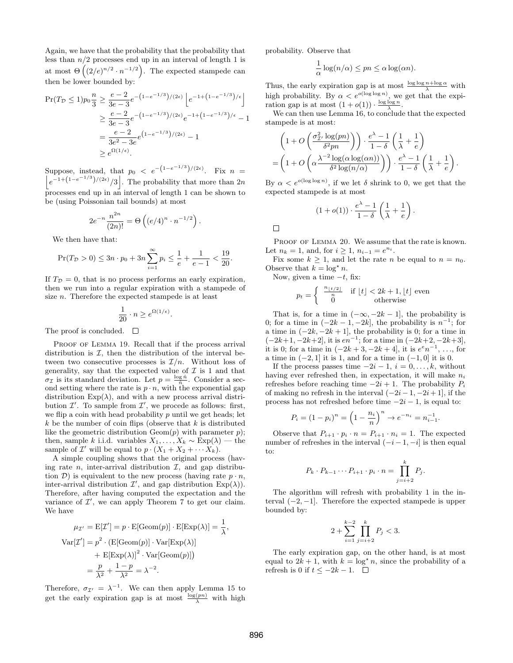Again, we have that the probability that the probability that less than  $n/2$  processes end up in an interval of length 1 is at most  $\Theta\left((2/e)^{n/2} \cdot n^{-1/2}\right)$ . The expected stampede can then be lower bounded by:

$$
\Pr(T_{\mathcal{D}} \le 1) p_0 \frac{n}{3} \ge \frac{e-2}{3e-3} e^{-\left(1-e^{-1/3}\right)/(2\epsilon)} \left[ e^{-1+\left(1-e^{-1/3}\right)/\epsilon} \right]
$$
  

$$
\ge \frac{e-2}{3e-3} e^{-\left(1-e^{-1/3}\right)/(2\epsilon)} e^{-1+\left(1-e^{-1/3}\right)/\epsilon} - 1
$$
  

$$
= \frac{e-2}{3e^2 - 3e} e^{\left(1-e^{-1/3}\right)/(2\epsilon)} - 1
$$
  

$$
\ge e^{\Omega(1/\epsilon)}.
$$

Suppose, instead, that  $p_0 < e^{-\left(1-e^{-1/3}\right)/(2\epsilon)}$  $\overline{1}$ . Fix  $n =$  $e^{-1+(1-e^{-1/3})/(2\epsilon)}/3$ . The probability that more than 2n processes end up in an interval of length 1 can be shown to be (using Poissonian tail bounds) at most

$$
2e^{-n}\frac{n^{2n}}{(2n)!} = \Theta\left((e/4)^n \cdot n^{-1/2}\right).
$$

We then have that:

$$
\Pr(T_{\mathcal{D}} > 0) \le 3n \cdot p_0 + 3n \sum_{i=1}^{\infty} p_i \le \frac{1}{e} + \frac{1}{e-1} < \frac{19}{20}.
$$

If  $T_{\mathcal{D}} = 0$ , that is no process performs an early expiration, then we run into a regular expiration with a stampede of size n. Therefore the expected stampede is at least

$$
\frac{1}{20} \cdot n \ge e^{\Omega(1/\epsilon)}.
$$

The proof is concluded.  $\square$ 

PROOF OF LEMMA 19. Recall that if the process arrival distribution is  $I$ , then the distribution of the interval between two consecutive processes is  $\mathcal{I}/n$ . Without loss of generality, say that the expected value of  $\mathcal I$  is 1 and that  $\sigma_{\mathcal{I}}$  is its standard deviation. Let  $p = \frac{\log \hat{n}}{\hat{n}}$ . Consider a secof is its standard deviation. Let  $p = \frac{1}{n}$ . Consider a second setting where the rate is  $p \cdot n$ , with the exponential gap distribution  $Exp(\lambda)$ , and with a new process arrival distribution  $\mathcal{I}'$ . To sample from  $\mathcal{I}'$ , we procede as follows: first, we flip a coin with head probability  $p$  until we get heads; let  $k$  be the number of coin flips (observe that  $k$  is distributed like the geometric distribution  $Geom(p)$  with parameter  $p)$ ; then, sample k i.i.d. variables  $X_1, \ldots, X_k \sim \text{Exp}(\lambda)$  — the sample of  $\mathcal{I}'$  will be equal to  $p \cdot (X_1 + X_2 + \cdots X_k)$ .

A simple coupling shows that the original process (having rate  $n$ , inter-arrival distribution  $\mathcal{I}$ , and gap distribution  $\mathcal{D}$ ) is equivalent to the new process (having rate  $p \cdot n$ , inter-arrival distribution  $\mathcal{I}'$ , and gap distribution  $Exp(\lambda)$ ). Therefore, after having computed the expectation and the variance of  $\mathcal{I}'$ , we can apply Theorem 7 to get our claim. We have

$$
\mu_{\mathcal{I}'} = \mathcal{E}[\mathcal{I}'] = p \cdot \mathcal{E}[\text{Geom}(p)] \cdot \mathcal{E}[\text{Exp}(\lambda)] = \frac{1}{\lambda},
$$
  
\n
$$
\text{Var}[\mathcal{I}'] = p^2 \cdot (\mathcal{E}[\text{Geom}(p)] \cdot \text{Var}[\text{Exp}(\lambda)]
$$
  
\n
$$
+ \mathcal{E}[\text{Exp}(\lambda)]^2 \cdot \text{Var}[\text{Geom}(p)])
$$
  
\n
$$
= \frac{p}{\lambda^2} + \frac{1-p}{\lambda^2} = \lambda^{-2}.
$$

Therefore,  $\sigma_{\mathcal{I}'} = \lambda^{-1}$ . We can then apply Lemma 15 to get the early expiration gap is at most  $\frac{\log(pn)}{\lambda}$  with high probability. Observe that

$$
\frac{1}{\alpha}\log(n/\alpha) \le pn \le \alpha\log(\alpha n).
$$

Thus, the early expiration gap is at most  $\frac{\log \log n + \log \alpha}{\lambda}$  with high probability. By  $\alpha < e^{o(\log \log n)}$ , we get that the expiration gap is at most  $(1+o(1)) \cdot \frac{\log \log n}{\lambda}$ .

We can then use Lemma 16, to conclude that the expected stampede is at most:

$$
\left(1+O\left(\frac{\sigma_{\mathcal{I}'}^2 \log(pn)}{\delta^2 pn}\right)\right) \cdot \frac{e^{\lambda}-1}{1-\delta} \left(\frac{1}{\lambda} + \frac{1}{e}\right)
$$

$$
= \left(1+O\left(\alpha \frac{\lambda^{-2} \log(\alpha \log(\alpha n))}{\delta^2 \log(n/\alpha)}\right)\right) \cdot \frac{e^{\lambda}-1}{1-\delta} \left(\frac{1}{\lambda} + \frac{1}{e}\right).
$$

By  $\alpha < e^{o(\log \log n)}$ , if we let  $\delta$  shrink to 0, we get that the expected stampede is at most

$$
(1+o(1)) \cdot \frac{e^{\lambda}-1}{1-\delta} \left(\frac{1}{\lambda} + \frac{1}{e}\right).
$$

 $\Box$ 

PROOF OF LEMMA 20. We assume that the rate is known. Let  $n_k = 1$ , and, for  $i \ge 1$ ,  $n_{i-1} = e^{n_i}$ .

Fix some  $k \geq 1$ , and let the rate *n* be equal to  $n = n_0$ . Observe that  $k = \log^* n$ .

Now, given a time  $-t$ , fix:

$$
p_t = \begin{cases} \frac{n_{\lfloor t/2 \rfloor}}{n} & \text{if } \lfloor t \rfloor < 2k + 1, \lfloor t \rfloor \text{ even} \\ 0 & \text{otherwise} \end{cases}
$$

That is, for a time in  $(-\infty, -2k-1]$ , the probability is 0; for a time in  $(-2k-1, -2k]$ , the probability is  $n^{-1}$ ; for a time in  $(-2k, -2k + 1]$ , the probability is 0; for a time in  $(-2k+1, -2k+2]$ , it is  $en^{-1}$ ; for a time in  $(-2k+2, -2k+3]$ , it is 0; for a time in  $(-2k+3, -2k+4]$ , it is  $e^{\epsilon}n^{-1}, \ldots$ , for a time in  $(-2, 1]$  it is 1, and for a time in  $(-1, 0]$  it is 0.

If the process passes time  $-2i-1$ ,  $i=0,\ldots,k$ , without having ever refreshed then, in expectation, it will make  $n_i$ refreshes before reaching time  $-2i + 1$ . The probability  $P_i$ of making no refresh in the interval  $(-2i-1, -2i+1]$ , if the process has not refreshed before time  $-2i - 1$ , is equal to:

$$
P_i = (1 - p_i)^n = \left(1 - \frac{n_i}{n}\right)^n \to e^{-n_i} = n_{i-1}^{-1}.
$$

Observe that  $P_{i+1} \cdot p_i \cdot n = P_{i+1} \cdot n_i = 1$ . The expected number of refreshes in the interval  $(-i-1, -i]$  is then equal to:

$$
P_k \cdot P_{k-1} \cdots P_{i+1} \cdot p_i \cdot n = \prod_{j=i+2}^k P_j.
$$

The algorithm will refresh with probability 1 in the interval  $(-2, -1]$ . Therefore the expected stampede is upper bounded by:

$$
2 + \sum_{i=1}^{k-2} \prod_{j=i+2}^{k} P_j < 3.
$$

The early expiration gap, on the other hand, is at most equal to  $2k + 1$ , with  $k = \log^* n$ , since the probability of a refresh is 0 if  $t \le -2k - 1$ . □